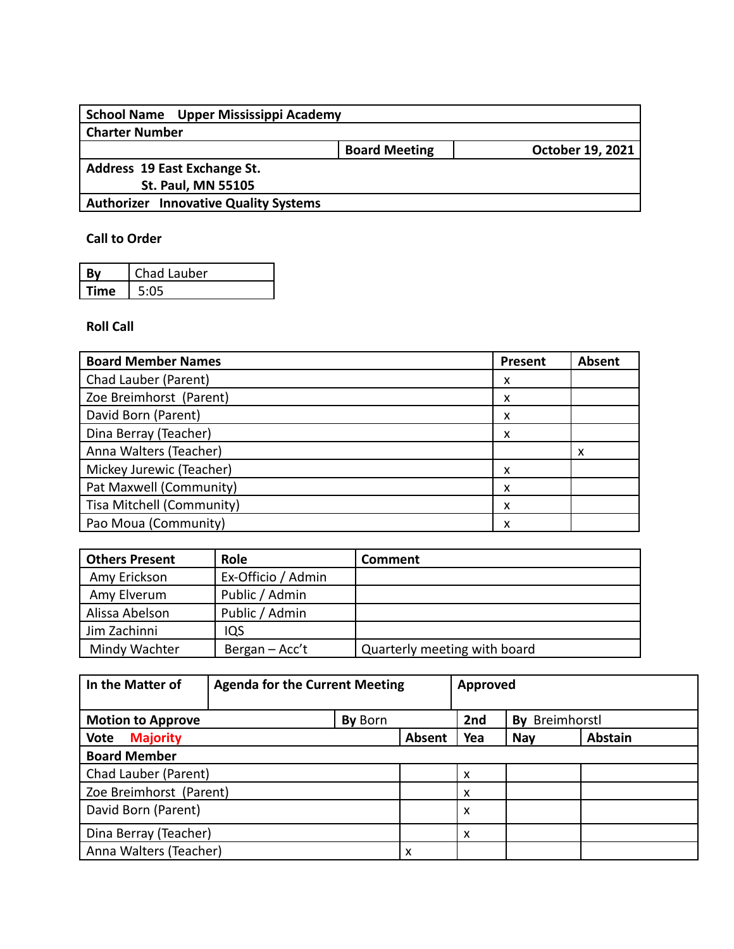| School Name Upper Mississippi Academy        |                      |                  |
|----------------------------------------------|----------------------|------------------|
| <b>Charter Number</b>                        |                      |                  |
|                                              | <b>Board Meeting</b> | October 19, 2021 |
| Address 19 East Exchange St.                 |                      |                  |
| <b>St. Paul, MN 55105</b>                    |                      |                  |
| <b>Authorizer Innovative Quality Systems</b> |                      |                  |
|                                              |                      |                  |

## **Call to Order**

| Rv   | Chad Lauber |
|------|-------------|
| Time | 5.05        |

## **Roll Call**

| <b>Board Member Names</b> | Present | Absent |
|---------------------------|---------|--------|
| Chad Lauber (Parent)      | x       |        |
| Zoe Breimhorst (Parent)   | x       |        |
| David Born (Parent)       | x       |        |
| Dina Berray (Teacher)     | x       |        |
| Anna Walters (Teacher)    |         | x      |
| Mickey Jurewic (Teacher)  | x       |        |
| Pat Maxwell (Community)   | x       |        |
| Tisa Mitchell (Community) | x       |        |
| Pao Moua (Community)      |         |        |

| <b>Others Present</b> | <b>Role</b>        | Comment                      |
|-----------------------|--------------------|------------------------------|
| Amy Erickson          | Ex-Officio / Admin |                              |
| Amy Elverum           | Public / Admin     |                              |
| Alissa Abelson        | Public / Admin     |                              |
| Jim Zachinni          | IQS                |                              |
| Mindy Wachter         | Bergan - Acc't     | Quarterly meeting with board |

| In the Matter of               | <b>Agenda for the Current Meeting</b> |         | Approved |     |                |                |
|--------------------------------|---------------------------------------|---------|----------|-----|----------------|----------------|
| <b>Motion to Approve</b>       |                                       | By Born |          | 2nd | By Breimhorstl |                |
| <b>Vote</b><br><b>Majority</b> |                                       |         | Absent   | Yea | <b>Nay</b>     | <b>Abstain</b> |
| <b>Board Member</b>            |                                       |         |          |     |                |                |
| Chad Lauber (Parent)           |                                       |         |          | x   |                |                |
| Zoe Breimhorst (Parent)        |                                       |         |          | x   |                |                |
| David Born (Parent)            |                                       |         |          | x   |                |                |
| Dina Berray (Teacher)          |                                       |         |          | x   |                |                |
| Anna Walters (Teacher)         |                                       |         | x        |     |                |                |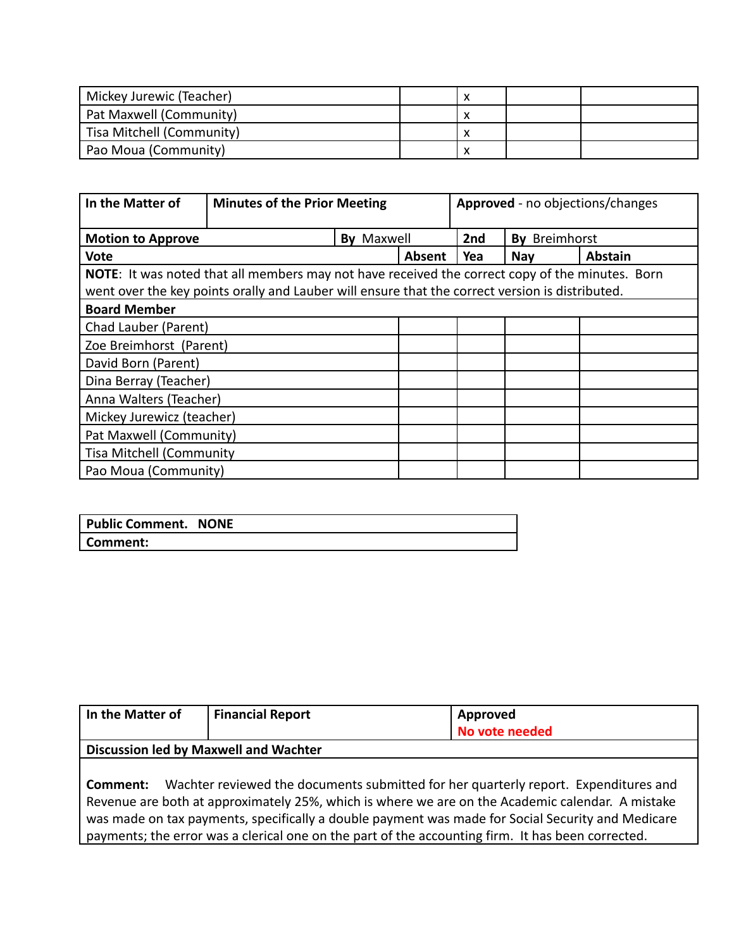| Mickey Jurewic (Teacher)  |  |  |
|---------------------------|--|--|
| Pat Maxwell (Community)   |  |  |
| Tisa Mitchell (Community) |  |  |
| Pao Moua (Community)      |  |  |

| In the Matter of                | <b>Minutes of the Prior Meeting</b>                                                                    |                   | Approved - no objections/changes |     |               |                |
|---------------------------------|--------------------------------------------------------------------------------------------------------|-------------------|----------------------------------|-----|---------------|----------------|
| <b>Motion to Approve</b>        |                                                                                                        | <b>By Maxwell</b> |                                  | 2nd | By Breimhorst |                |
| <b>Vote</b>                     |                                                                                                        |                   | Absent                           | Yea | <b>Nay</b>    | <b>Abstain</b> |
|                                 | <b>NOTE:</b> It was noted that all members may not have received the correct copy of the minutes. Born |                   |                                  |     |               |                |
|                                 | went over the key points orally and Lauber will ensure that the correct version is distributed.        |                   |                                  |     |               |                |
| <b>Board Member</b>             |                                                                                                        |                   |                                  |     |               |                |
|                                 | Chad Lauber (Parent)                                                                                   |                   |                                  |     |               |                |
| Zoe Breimhorst (Parent)         |                                                                                                        |                   |                                  |     |               |                |
| David Born (Parent)             |                                                                                                        |                   |                                  |     |               |                |
| Dina Berray (Teacher)           |                                                                                                        |                   |                                  |     |               |                |
| Anna Walters (Teacher)          |                                                                                                        |                   |                                  |     |               |                |
| Mickey Jurewicz (teacher)       |                                                                                                        |                   |                                  |     |               |                |
| Pat Maxwell (Community)         |                                                                                                        |                   |                                  |     |               |                |
| <b>Tisa Mitchell (Community</b> |                                                                                                        |                   |                                  |     |               |                |
| Pao Moua (Community)            |                                                                                                        |                   |                                  |     |               |                |

| <b>Public Comment. NONE</b> |  |
|-----------------------------|--|
| Comment:                    |  |

| In the Matter of                                                                                  | <b>Financial Report</b>                                                                           | Approved       |  |  |  |  |  |  |
|---------------------------------------------------------------------------------------------------|---------------------------------------------------------------------------------------------------|----------------|--|--|--|--|--|--|
|                                                                                                   |                                                                                                   | No vote needed |  |  |  |  |  |  |
|                                                                                                   | Discussion led by Maxwell and Wachter                                                             |                |  |  |  |  |  |  |
|                                                                                                   |                                                                                                   |                |  |  |  |  |  |  |
| Wachter reviewed the documents submitted for her quarterly report. Expenditures and<br>Comment:   |                                                                                                   |                |  |  |  |  |  |  |
| Revenue are both at approximately 25%, which is where we are on the Academic calendar. A mistake  |                                                                                                   |                |  |  |  |  |  |  |
| was made on tax payments, specifically a double payment was made for Social Security and Medicare |                                                                                                   |                |  |  |  |  |  |  |
|                                                                                                   | payments; the error was a clerical one on the part of the accounting firm. It has been corrected. |                |  |  |  |  |  |  |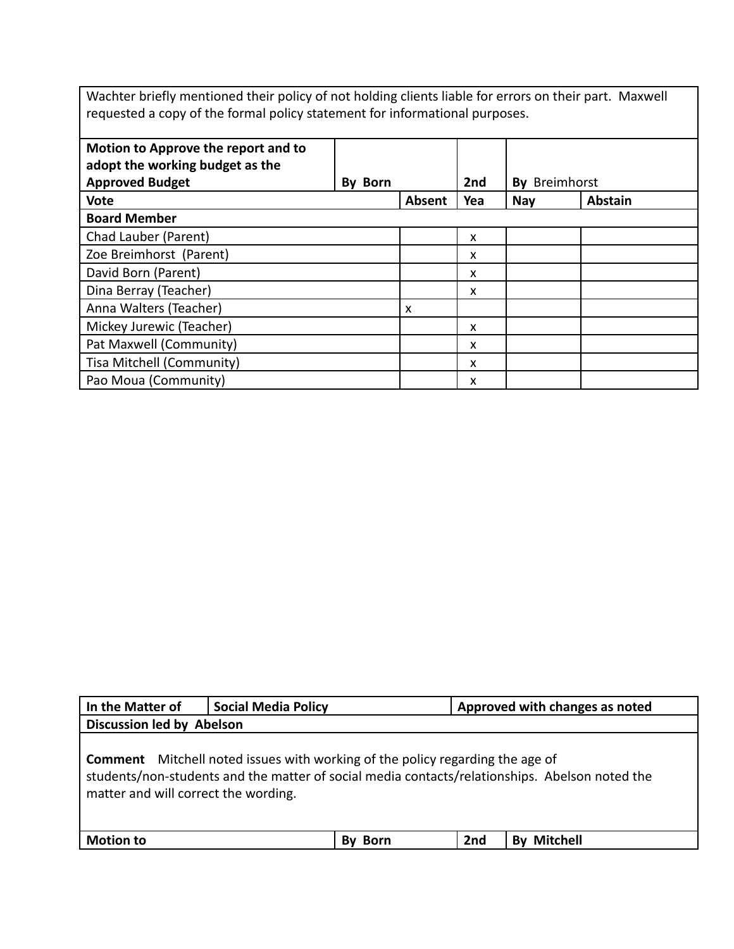Wachter briefly mentioned their policy of not holding clients liable for errors on their part. Maxwell requested a copy of the formal policy statement for informational purposes.

| Motion to Approve the report and to<br>adopt the working budget as the |         |        |     |            |                |
|------------------------------------------------------------------------|---------|--------|-----|------------|----------------|
| <b>Approved Budget</b>                                                 | By Born |        | 2nd | Bv         | Breimhorst     |
| <b>Vote</b>                                                            |         | Absent | Yea | <b>Nay</b> | <b>Abstain</b> |
| <b>Board Member</b>                                                    |         |        |     |            |                |
| Chad Lauber (Parent)                                                   |         |        | X   |            |                |
| Zoe Breimhorst (Parent)                                                |         |        | x   |            |                |
| David Born (Parent)                                                    |         |        | X   |            |                |
| Dina Berray (Teacher)                                                  |         |        | x   |            |                |
| Anna Walters (Teacher)                                                 |         | X      |     |            |                |
| Mickey Jurewic (Teacher)                                               |         |        | X   |            |                |
| Pat Maxwell (Community)                                                |         |        | X   |            |                |
| Tisa Mitchell (Community)                                              |         |        | X   |            |                |
| Pao Moua (Community)                                                   |         |        | x   |            |                |

| In the Matter of                     | <b>Social Media Policy</b>                                                           | Approved with changes as noted                                                                 |  |  |  |  |  |
|--------------------------------------|--------------------------------------------------------------------------------------|------------------------------------------------------------------------------------------------|--|--|--|--|--|
| <b>Discussion led by Abelson</b>     |                                                                                      |                                                                                                |  |  |  |  |  |
| matter and will correct the wording. | <b>Comment</b> Mitchell noted issues with working of the policy regarding the age of | students/non-students and the matter of social media contacts/relationships. Abelson noted the |  |  |  |  |  |
| <b>Motion to</b>                     | Born<br>Bv                                                                           | <b>By Mitchell</b><br>2nd                                                                      |  |  |  |  |  |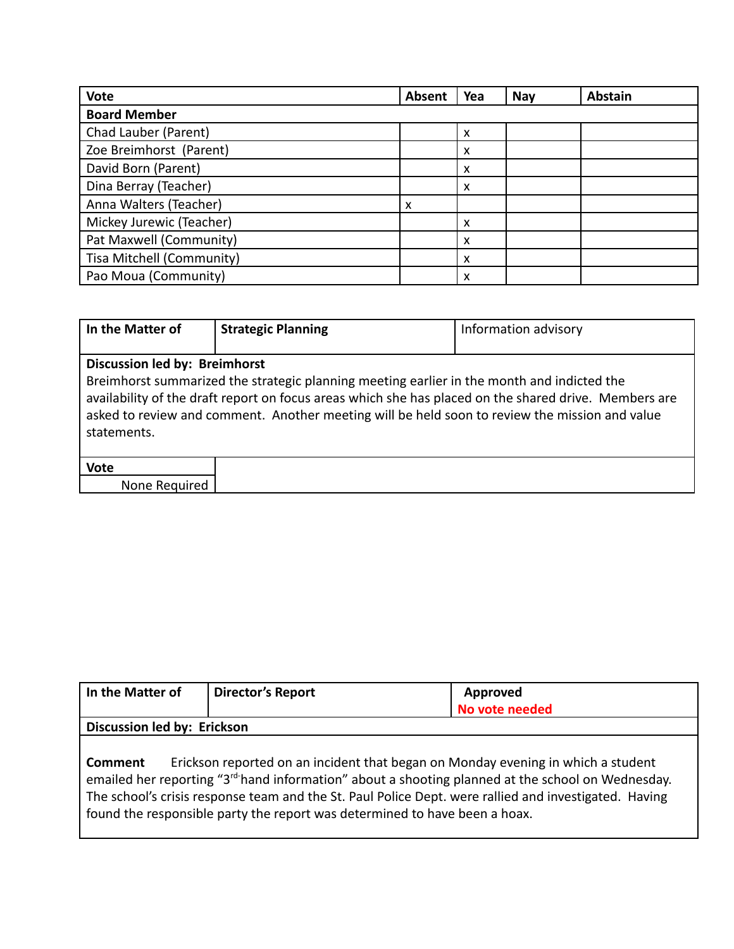| <b>Vote</b>               | Absent | Yea | Nay | <b>Abstain</b> |
|---------------------------|--------|-----|-----|----------------|
| <b>Board Member</b>       |        |     |     |                |
| Chad Lauber (Parent)      |        | x   |     |                |
| Zoe Breimhorst (Parent)   |        | x   |     |                |
| David Born (Parent)       |        | x   |     |                |
| Dina Berray (Teacher)     |        | x   |     |                |
| Anna Walters (Teacher)    | x      |     |     |                |
| Mickey Jurewic (Teacher)  |        | x   |     |                |
| Pat Maxwell (Community)   |        | x   |     |                |
| Tisa Mitchell (Community) |        | x   |     |                |
| Pao Moua (Community)      |        | x   |     |                |

| In the Matter of                             | <b>Strategic Planning</b>                                                                                                                                                                                                                                                                             | Information advisory |
|----------------------------------------------|-------------------------------------------------------------------------------------------------------------------------------------------------------------------------------------------------------------------------------------------------------------------------------------------------------|----------------------|
| Discussion led by: Breimhorst<br>statements. | Breimhorst summarized the strategic planning meeting earlier in the month and indicted the<br>availability of the draft report on focus areas which she has placed on the shared drive. Members are<br>asked to review and comment. Another meeting will be held soon to review the mission and value |                      |
| <b>Vote</b>                                  |                                                                                                                                                                                                                                                                                                       |                      |
| None Required                                |                                                                                                                                                                                                                                                                                                       |                      |

| In the Matter of            | <b>Director's Report</b>                                                                                                                                                                                                                                                                                                                                                                  | Approved       |
|-----------------------------|-------------------------------------------------------------------------------------------------------------------------------------------------------------------------------------------------------------------------------------------------------------------------------------------------------------------------------------------------------------------------------------------|----------------|
|                             |                                                                                                                                                                                                                                                                                                                                                                                           | No vote needed |
| Discussion led by: Erickson |                                                                                                                                                                                                                                                                                                                                                                                           |                |
| <b>Comment</b>              | Erickson reported on an incident that began on Monday evening in which a student<br>emailed her reporting "3 <sup>rd-</sup> hand information" about a shooting planned at the school on Wednesday.<br>The school's crisis response team and the St. Paul Police Dept. were rallied and investigated. Having<br>found the responsible party the report was determined to have been a hoax. |                |